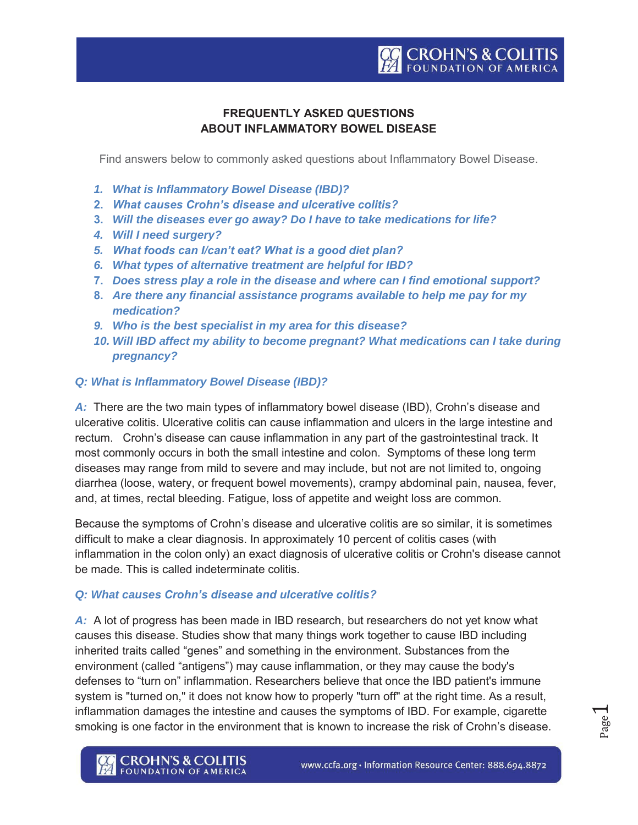## **FREQUENTLY ASKED QUESTIONS ABOUT INFLAMMATORY BOWEL DISEASE**

Find answers below to commonly asked questions about Inflammatory Bowel Disease.

- *1. What is Inflammatory Bowel Disease (IBD)?*
- **2.** *What causes Crohn's disease and ulcerative colitis?*
- **3.** *Will the diseases ever go away? Do I have to take medications for life?*
- *4. Will I need surgery?*
- *5. What foods can I/can't eat? What is a good diet plan?*
- *6. What types of alternative treatment are helpful for IBD?*
- **7.** *Does stress play a role in the disease and where can I find emotional support?*
- **8.** *Are there any financial assistance programs available to help me pay for my medication?*
- *9. Who is the best specialist in my area for this disease?*
- *10. Will IBD affect my ability to become pregnant? What medications can I take during pregnancy?*

#### *Q: What is Inflammatory Bowel Disease (IBD)?*

A: There are the two main types of inflammatory bowel disease (IBD), Crohn's disease and ulcerative colitis. Ulcerative colitis can cause inflammation and ulcers in the large intestine and rectum. Crohn's disease can cause inflammation in any part of the gastrointestinal track. It most commonly occurs in both the small intestine and colon. Symptoms of these long term diseases may range from mild to severe and may include, but not are not limited to, ongoing diarrhea (loose, watery, or frequent bowel movements), crampy abdominal pain, nausea, fever, and, at times, rectal bleeding. Fatigue, loss of appetite and weight loss are common.

Because the symptoms of Crohn's disease and ulcerative colitis are so similar, it is sometimes difficult to make a clear diagnosis. In approximately 10 percent of colitis cases (with inflammation in the colon only) an exact diagnosis of ulcerative colitis or Crohn's disease cannot be made. This is called indeterminate colitis.

#### *Q: What causes Crohn's disease and ulcerative colitis?*

A: A lot of progress has been made in IBD research, but researchers do not yet know what causes this disease. Studies show that many things work together to cause IBD including inherited traits called "genes" and something in the environment. Substances from the environment (called "antigens") may cause inflammation, or they may cause the body's defenses to "turn on" inflammation. Researchers believe that once the IBD patient's immune system is "turned on," it does not know how to properly "turn off" at the right time. As a result, inflammation damages the intestine and causes the symptoms of IBD. For example, cigarette smoking is one factor in the environment that is known to increase the risk of Crohn's disease.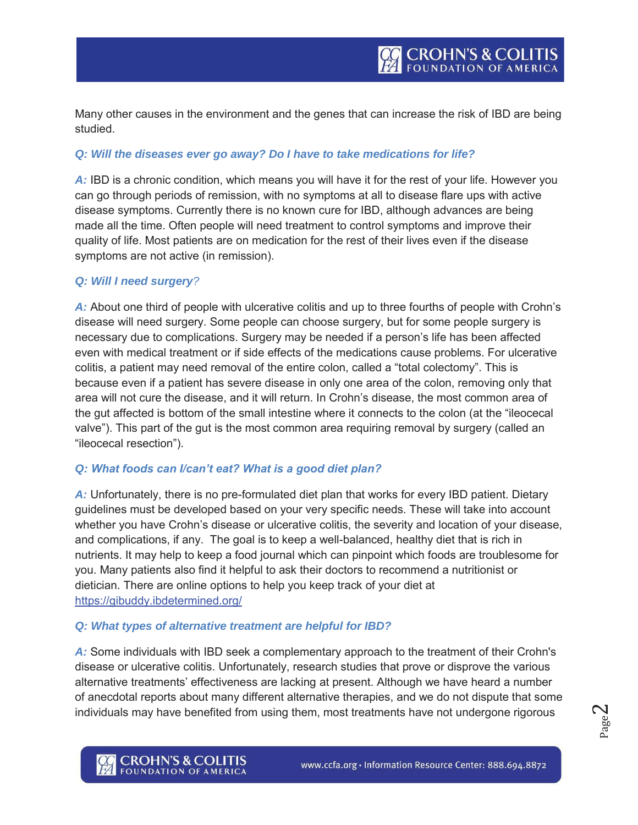Many other causes in the environment and the genes that can increase the risk of IBD are being studied.

### *Q: Will the diseases ever go away? Do I have to take medications for life?*

*A:* IBD is a chronic condition, which means you will have it for the rest of your life. However you can go through periods of remission, with no symptoms at all to disease flare ups with active disease symptoms. Currently there is no known cure for IBD, although advances are being made all the time. Often people will need treatment to control symptoms and improve their quality of life. Most patients are on medication for the rest of their lives even if the disease symptoms are not active (in remission).

#### *Q: Will I need surgery?*

*A:* About one third of people with ulcerative colitis and up to three fourths of people with Crohn's disease will need surgery. Some people can choose surgery, but for some people surgery is necessary due to complications. Surgery may be needed if a person's life has been affected even with medical treatment or if side effects of the medications cause problems. For ulcerative colitis, a patient may need removal of the entire colon, called a "total colectomy". This is because even if a patient has severe disease in only one area of the colon, removing only that area will not cure the disease, and it will return. In Crohn's disease, the most common area of the gut affected is bottom of the small intestine where it connects to the colon (at the "ileocecal valve"). This part of the gut is the most common area requiring removal by surgery (called an "ileocecal resection").

#### *Q: What foods can I/can't eat? What is a good diet plan?*

*A:* Unfortunately, there is no pre-formulated diet plan that works for every IBD patient. Dietary guidelines must be developed based on your very specific needs. These will take into account whether you have Crohn's disease or ulcerative colitis, the severity and location of your disease, and complications, if any. The goal is to keep a well-balanced, healthy diet that is rich in nutrients. It may help to keep a food journal which can pinpoint which foods are troublesome for you. Many patients also find it helpful to ask their doctors to recommend a nutritionist or dietician. There are online options to help you keep track of your diet at https://gibuddy.ibdetermined.org/

#### *Q: What types of alternative treatment are helpful for IBD?*

A: Some individuals with IBD seek a complementary approach to the treatment of their Crohn's disease or ulcerative colitis. Unfortunately, research studies that prove or disprove the various alternative treatments' effectiveness are lacking at present. Although we have heard a number of anecdotal reports about many different alternative therapies, and we do not dispute that some individuals may have benefited from using them, most treatments have not undergone rigorous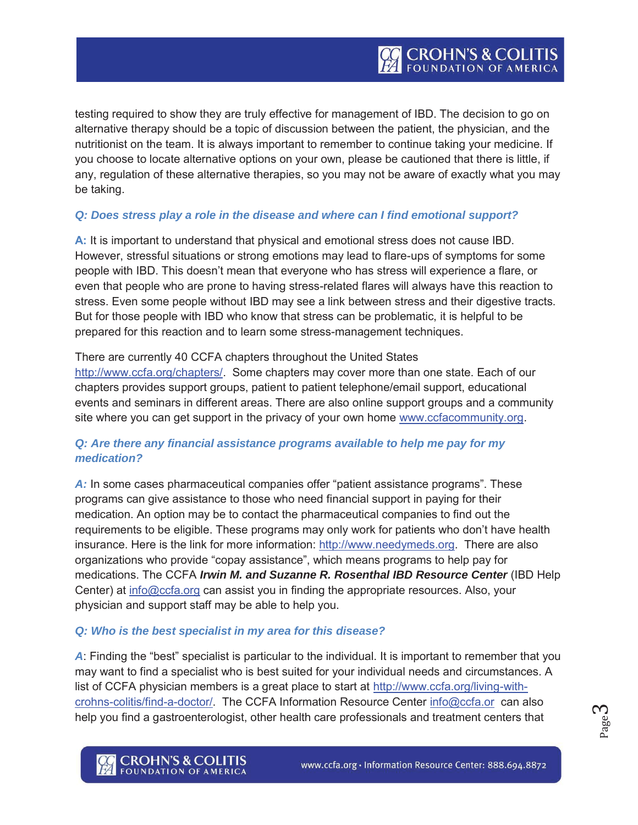testing required to show they are truly effective for management of IBD. The decision to go on alternative therapy should be a topic of discussion between the patient, the physician, and the nutritionist on the team. It is always important to remember to continue taking your medicine. If you choose to locate alternative options on your own, please be cautioned that there is little, if any, regulation of these alternative therapies, so you may not be aware of exactly what you may be taking.

### *Q: Does stress play a role in the disease and where can I find emotional support?*

**A:** It is important to understand that physical and emotional stress does not cause IBD. However, stressful situations or strong emotions may lead to flare-ups of symptoms for some people with IBD. This doesn't mean that everyone who has stress will experience a flare, or even that people who are prone to having stress-related flares will always have this reaction to stress. Even some people without IBD may see a link between stress and their digestive tracts. But for those people with IBD who know that stress can be problematic, it is helpful to be prepared for this reaction and to learn some stress-management techniques.

There are currently 40 CCFA chapters throughout the United States http://www.ccfa.org/chapters/. Some chapters may cover more than one state. Each of our chapters provides support groups, patient to patient telephone/email support, educational events and seminars in different areas. There are also online support groups and a community site where you can get support in the privacy of your own home www.ccfacommunity.org.

## *Q: Are there any financial assistance programs available to help me pay for my medication?*

*A:* In some cases pharmaceutical companies offer "patient assistance programs". These programs can give assistance to those who need financial support in paying for their medication. An option may be to contact the pharmaceutical companies to find out the requirements to be eligible. These programs may only work for patients who don't have health insurance. Here is the link for more information: http://www.needymeds.org. There are also organizations who provide "copay assistance", which means programs to help pay for medications. The CCFA *Irwin M. and Suzanne R. Rosenthal IBD Resource Center* (IBD Help Center) at info@ccfa.org can assist you in finding the appropriate resources. Also, your physician and support staff may be able to help you.

#### *Q: Who is the best specialist in my area for this disease?*

*A*: Finding the "best" specialist is particular to the individual. It is important to remember that you may want to find a specialist who is best suited for your individual needs and circumstances. A list of CCFA physician members is a great place to start at http://www.ccfa.org/living-withcrohns-colitis/find-a-doctor/. The CCFA Information Resource Center info@ccfa.or can also help you find a gastroenterologist, other health care professionals and treatment centers that

p<sub>age</sub><sub>d</sub>